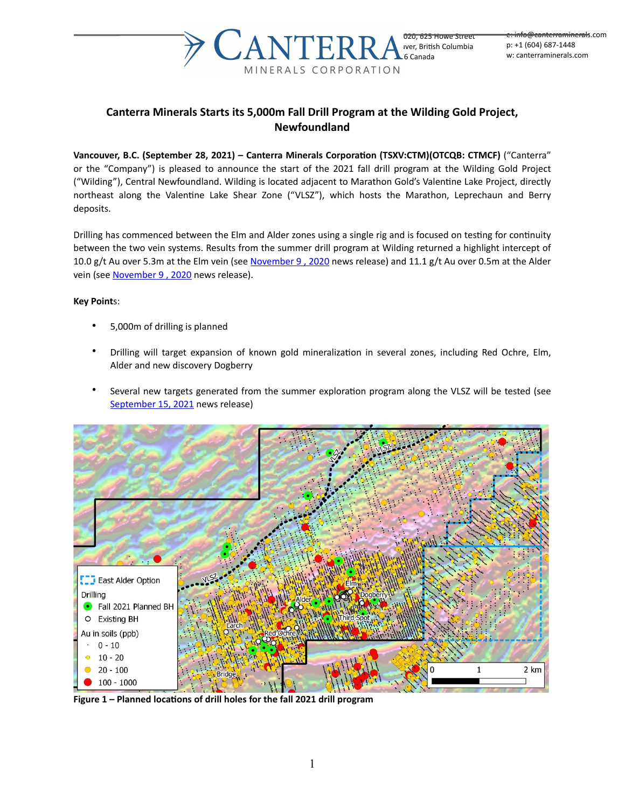# **Canterra Minerals Starts its 5,000m Fall Drill Program at the Wilding Gold Project, Newfoundland**

MINERALS CORPORATION

**Vancouver, B.C. (September 28, 2021) – Canterra Minerals Corporation (TSXV:CTM)(OTCQB: CTMCF)** ("Canterra" or the "Company") is pleased to announce the start of the 2021 fall drill program at the Wilding Gold Project ("Wilding"), Central Newfoundland. Wilding is located adjacent to Marathon Gold's Valentine Lake Project, directly northeast along the Valentine Lake Shear Zone ("VLSZ"), which hosts the Marathon, Leprechaun and Berry deposits.

Drilling has commenced between the Elm and Alder zones using a single rig and is focused on testing for continuity between the two vein systems. Results from the summer drill program at Wilding returned a highlight intercept of 10.0 g/t Au over 5.3m at the Elm vein (see November 9, 2020 news release) and 11.1 g/t Au over 0.5m at the Alder vein (see November 9, 2020 news release).

## **Key Point**s:

- 5,000m of drilling is planned
- Drilling will target expansion of known gold mineralization in several zones, including Red Ochre, Elm, Alder and new discovery Dogberry
- Several new targets generated from the summer exploration program along the VLSZ will be tested (see [September 15, 2021](https://canterraminerals.com/site/assets/files/5702/210915-ctm-nr.pdf) news release)



**Figure 1 – Planned locations of drill holes for the fall 2021 drill program**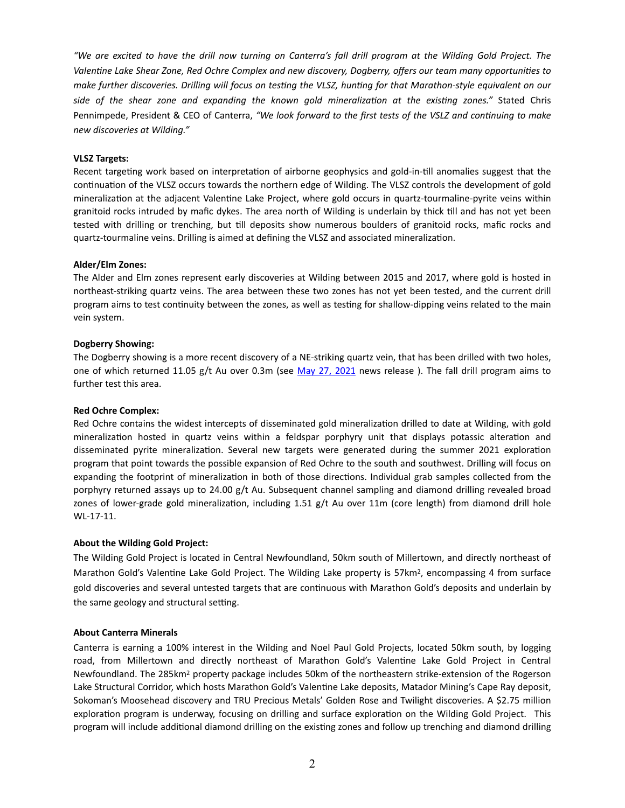*"We are excited to have the drill now turning on Canterra's fall drill program at the Wilding Gold Project. The Valentine Lake Shear Zone, Red Ochre Complex and new discovery, Dogberry, offers our team many opportunities to make further discoveries. Drilling will focus on testing the VLSZ, hunting for that Marathon-style equivalent on our side of the shear zone and expanding the known gold mineralization at the existing zones."* Stated Chris Pennimpede, President & CEO of Canterra, *"We look forward to the first tests of the VSLZ and continuing to make new discoveries at Wilding."* 

#### **VLSZ Targets:**

Recent targeting work based on interpretation of airborne geophysics and gold-in-till anomalies suggest that the continuation of the VLSZ occurs towards the northern edge of Wilding. The VLSZ controls the development of gold mineralization at the adjacent Valentine Lake Project, where gold occurs in quartz-tourmaline-pyrite veins within granitoid rocks intruded by mafic dykes. The area north of Wilding is underlain by thick till and has not yet been tested with drilling or trenching, but till deposits show numerous boulders of granitoid rocks, mafic rocks and quartz-tourmaline veins. Drilling is aimed at defining the VLSZ and associated mineralization.

#### **Alder/Elm Zones:**

The Alder and Elm zones represent early discoveries at Wilding between 2015 and 2017, where gold is hosted in northeast-striking quartz veins. The area between these two zones has not yet been tested, and the current drill program aims to test continuity between the zones, as well as testing for shallow-dipping veins related to the main vein system.

#### **Dogberry Showing:**

The Dogberry showing is a more recent discovery of a NE-striking quartz vein, that has been drilled with two holes, one of which returned 11.05 g/t Au over 0.3m (see [May 27, 2021](https://canterraminerals.com/site/assets/files/5689/210527_-_wilding_lake_exploration_update.pdf) news release). The fall drill program aims to further test this area.

## **Red Ochre Complex:**

Red Ochre contains the widest intercepts of disseminated gold mineralization drilled to date at Wilding, with gold mineralization hosted in quartz veins within a feldspar porphyry unit that displays potassic alteration and disseminated pyrite mineralization. Several new targets were generated during the summer 2021 exploration program that point towards the possible expansion of Red Ochre to the south and southwest. Drilling will focus on expanding the footprint of mineralization in both of those directions. Individual grab samples collected from the porphyry returned assays up to 24.00 g/t Au. Subsequent channel sampling and diamond drilling revealed broad zones of lower-grade gold mineralization, including  $1.51$  g/t Au over  $11$ m (core length) from diamond drill hole WL-17-11.

## **About the Wilding Gold Project:**

The Wilding Gold Project is located in Central Newfoundland, 50km south of Millertown, and directly northeast of Marathon Gold's Valentine Lake Gold Project. The Wilding Lake property is 57km2, encompassing 4 from surface gold discoveries and several untested targets that are continuous with Marathon Gold's deposits and underlain by the same geology and structural setting.

#### **About Canterra Minerals**

Canterra is earning a 100% interest in the Wilding and Noel Paul Gold Projects, located 50km south, by logging road, from Millertown and directly northeast of Marathon Gold's Valentine Lake Gold Project in Central Newfoundland. The 285km2 property package includes 50km of the northeastern strike-extension of the Rogerson Lake Structural Corridor, which hosts Marathon Gold's Valentine Lake deposits, Matador Mining's Cape Ray deposit, Sokoman's Moosehead discovery and TRU Precious Metals' Golden Rose and Twilight discoveries. A \$2.75 million exploration program is underway, focusing on drilling and surface exploration on the Wilding Gold Project. This program will include additional diamond drilling on the existing zones and follow up trenching and diamond drilling